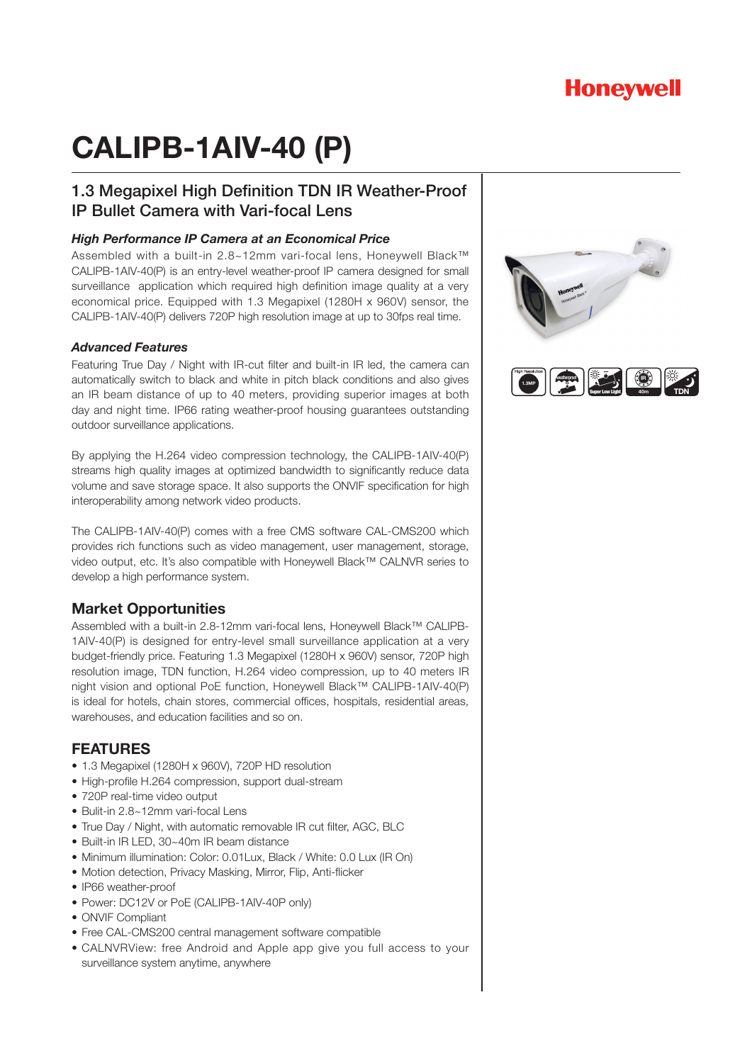## **Honeywell**

# **CALIPB-1AIV-40 (P)**

## 1.3 Megapixel High Definition TDN IR Weather-Proof IP Bullet Camera with Vari-focal Lens

#### *High Performance IP Camera at an Economical Price*

Assembled with a built-in 2.8~12mm vari-focal lens, Honeywell Black™ CALIPB-1AIV-40(P) is an entry-level weather-proof IP camera designed for small surveillance application which required high definition image quality at a very economical price. Equipped with 1.3 Megapixel (1280H x 960V) sensor, the CALIPB-1AIV-40(P) delivers 720P high resolution image at up to 30fps real time.

#### *Advanced Features*

Featuring True Day / Night with IR-cut filter and built-in IR led, the camera can automatically switch to black and white in pitch black conditions and also gives an IR beam distance of up to 40 meters, providing superior images at both day and night time. IP66 rating weather-proof housing guarantees outstanding outdoor surveillance applications.

By applying the H.264 video compression technology, the CALIPB-1AIV-40(P) streams high quality images at optimized bandwidth to significantly reduce data volume and save storage space. It also supports the ONVIF specification for high interoperability among network video products.

The CALIPB-1AIV-40(P) comes with a free CMS software CAL-CMS200 which provides rich functions such as video management, user management, storage, video output, etc. It's also compatible with Honeywell Black™ CALNVR series to develop a high performance system.

#### **Market Opportunities**

Assembled with a built-in 2.8-12mm vari-focal lens, Honeywell Black™ CALIPB-1AIV-40(P) is designed for entry-level small surveillance application at a very budget-friendly price. Featuring 1.3 Megapixel (1280H x 960V) sensor, 720P high resolution image, TDN function, H.264 video compression, up to 40 meters IR night vision and optional PoE function, Honeywell Black™ CALIPB-1AIV-40(P) is ideal for hotels, chain stores, commercial offices, hospitals, residential areas, warehouses, and education facilities and so on.

#### **FEATURES**

- 1.3 Megapixel (1280H x 960V), 720P HD resolution
- High-profile H.264 compression, support dual-stream
- 720P real-time video output
- Bulit-in 2.8~12mm vari-focal Lens
- True Day / Night, with automatic removable IR cut filter, AGC, BLC
- Built-in IR LED, 30~40m IR beam distance
- Minimum illumination: Color: 0.01Lux, Black / White: 0.0 Lux (IR On)
- Motion detection, Privacy Masking, Mirror, Flip, Anti-flicker
- IP66 weather-proof
- Power: DC12V or PoE (CALIPB-1AIV-40P only)
- ONVIF Compliant
- Free CAL-CMS200 central management software compatible
- CALNVRView: free Android and Apple app give you full access to your surveillance system anytime, anywhere

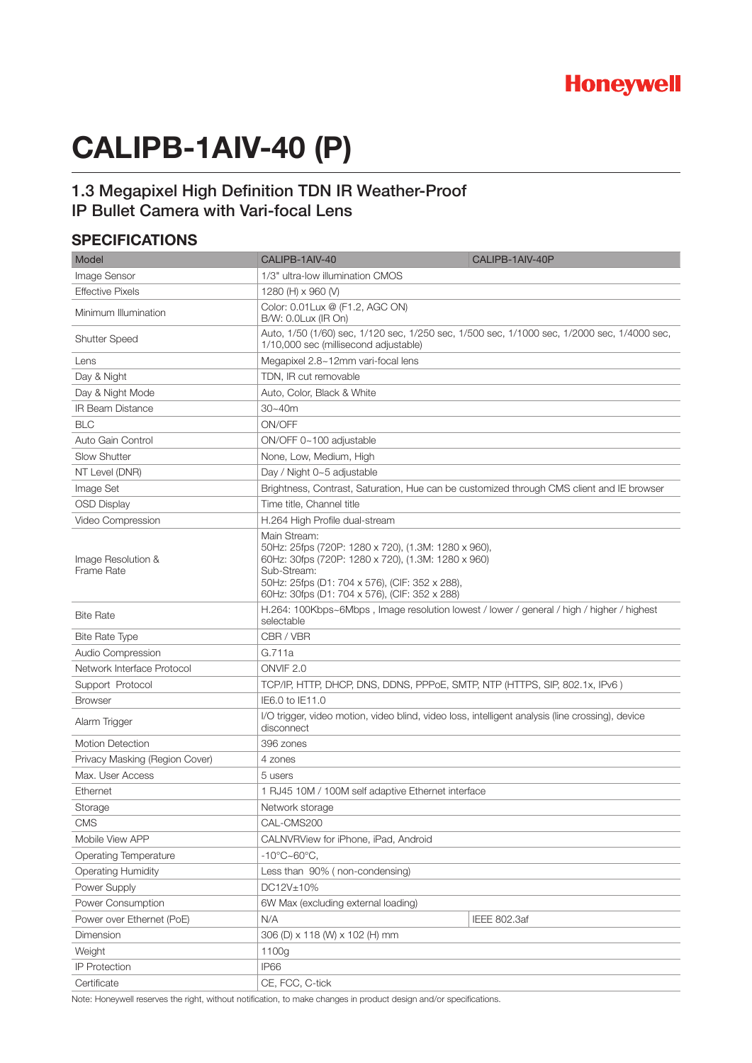# **CALIPB-1AIV-40 (P)**

## 1.3 Megapixel High Definition TDN IR Weather-Proof IP Bullet Camera with Vari-focal Lens

### **SPECIFICATIONS**

| Model                            | CALIPB-1AIV-40                                                                                                                                                                                                                              | CALIPB-1AIV-40P |
|----------------------------------|---------------------------------------------------------------------------------------------------------------------------------------------------------------------------------------------------------------------------------------------|-----------------|
| <b>Image Sensor</b>              | 1/3" ultra-low illumination CMOS                                                                                                                                                                                                            |                 |
| <b>Effective Pixels</b>          | 1280 (H) x 960 (V)                                                                                                                                                                                                                          |                 |
| Minimum Illumination             | Color: 0.01Lux @ (F1.2, AGC ON)<br>B/W: 0.0Lux (IR On)                                                                                                                                                                                      |                 |
| <b>Shutter Speed</b>             | Auto, 1/50 (1/60) sec, 1/120 sec, 1/250 sec, 1/500 sec, 1/1000 sec, 1/2000 sec, 1/4000 sec,<br>1/10,000 sec (millisecond adjustable)                                                                                                        |                 |
| Lens                             | Megapixel 2.8~12mm vari-focal lens                                                                                                                                                                                                          |                 |
| Day & Night                      | TDN, IR cut removable                                                                                                                                                                                                                       |                 |
| Day & Night Mode                 | Auto, Color, Black & White                                                                                                                                                                                                                  |                 |
| <b>IR Beam Distance</b>          | $30 - 40m$                                                                                                                                                                                                                                  |                 |
| <b>BLC</b>                       | ON/OFF                                                                                                                                                                                                                                      |                 |
| Auto Gain Control                | ON/OFF 0~100 adjustable                                                                                                                                                                                                                     |                 |
| <b>Slow Shutter</b>              | None, Low, Medium, High                                                                                                                                                                                                                     |                 |
| NT Level (DNR)                   | Day / Night 0~5 adjustable                                                                                                                                                                                                                  |                 |
| Image Set                        | Brightness, Contrast, Saturation, Hue can be customized through CMS client and IE browser                                                                                                                                                   |                 |
| <b>OSD Display</b>               | Time title, Channel title                                                                                                                                                                                                                   |                 |
| Video Compression                | H.264 High Profile dual-stream                                                                                                                                                                                                              |                 |
| Image Resolution &<br>Frame Rate | Main Stream:<br>50Hz: 25fps (720P: 1280 x 720), (1.3M: 1280 x 960),<br>60Hz: 30fps (720P: 1280 x 720), (1.3M: 1280 x 960)<br>Sub-Stream:<br>50Hz: 25fps (D1: 704 x 576), (CIF: 352 x 288),<br>60Hz: 30fps (D1: 704 x 576), (CIF: 352 x 288) |                 |
| <b>Bite Rate</b>                 | H.264: 100Kbps~6Mbps, Image resolution lowest / lower / general / high / higher / highest<br>selectable                                                                                                                                     |                 |
| <b>Bite Rate Type</b>            | CBR / VBR                                                                                                                                                                                                                                   |                 |
| Audio Compression                | G.711a                                                                                                                                                                                                                                      |                 |
| Network Interface Protocol       | ONVIF <sub>2.0</sub>                                                                                                                                                                                                                        |                 |
| Support Protocol                 | TCP/IP, HTTP, DHCP, DNS, DDNS, PPPoE, SMTP, NTP (HTTPS, SIP, 802.1x, IPv6)                                                                                                                                                                  |                 |
| <b>Browser</b>                   | IE6.0 to IE11.0                                                                                                                                                                                                                             |                 |
| Alarm Trigger                    | I/O trigger, video motion, video blind, video loss, intelligent analysis (line crossing), device<br>disconnect                                                                                                                              |                 |
| <b>Motion Detection</b>          | 396 zones                                                                                                                                                                                                                                   |                 |
| Privacy Masking (Region Cover)   | 4 zones                                                                                                                                                                                                                                     |                 |
| Max. User Access                 | 5 users                                                                                                                                                                                                                                     |                 |
| Ethernet                         | 1 RJ45 10M / 100M self adaptive Ethernet interface                                                                                                                                                                                          |                 |
| Storage                          | Network storage                                                                                                                                                                                                                             |                 |
| <b>CMS</b>                       | CAL-CMS200                                                                                                                                                                                                                                  |                 |
| Mobile View APP                  | CALNVRView for iPhone, iPad, Android                                                                                                                                                                                                        |                 |
| Operating Temperature            | $-10^{\circ}$ C $\sim$ 60 $^{\circ}$ C,                                                                                                                                                                                                     |                 |
| <b>Operating Humidity</b>        | Less than 90% (non-condensing)                                                                                                                                                                                                              |                 |
| Power Supply                     | DC12V±10%                                                                                                                                                                                                                                   |                 |
| Power Consumption                | 6W Max (excluding external loading)                                                                                                                                                                                                         |                 |
| Power over Ethernet (PoE)        | N/A                                                                                                                                                                                                                                         | IEEE 802.3af    |
| Dimension                        | 306 (D) x 118 (W) x 102 (H) mm                                                                                                                                                                                                              |                 |
| Weight                           | 1100g                                                                                                                                                                                                                                       |                 |
| <b>IP Protection</b>             | IP66                                                                                                                                                                                                                                        |                 |
| Certificate                      | CE, FCC, C-tick                                                                                                                                                                                                                             |                 |

Note: Honeywell reserves the right, without notification, to make changes in product design and/or specifications.